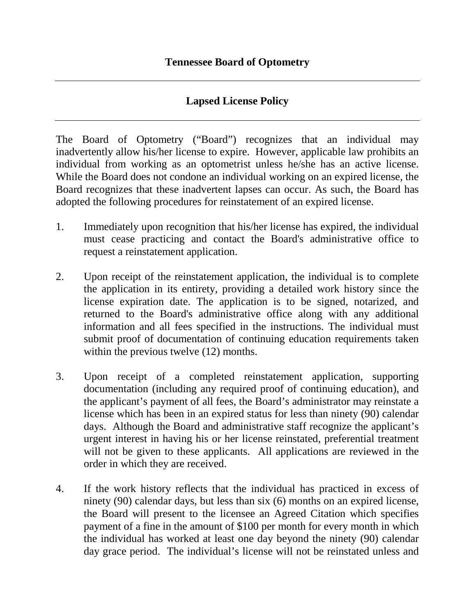## **Lapsed License Policy**

The Board of Optometry ("Board") recognizes that an individual may inadvertently allow his/her license to expire. However, applicable law prohibits an individual from working as an optometrist unless he/she has an active license. While the Board does not condone an individual working on an expired license, the Board recognizes that these inadvertent lapses can occur. As such, the Board has adopted the following procedures for reinstatement of an expired license.

- 1. Immediately upon recognition that his/her license has expired, the individual must cease practicing and contact the Board's administrative office to request a reinstatement application.
- 2. Upon receipt of the reinstatement application, the individual is to complete the application in its entirety, providing a detailed work history since the license expiration date. The application is to be signed, notarized, and returned to the Board's administrative office along with any additional information and all fees specified in the instructions. The individual must submit proof of documentation of continuing education requirements taken within the previous twelve  $(12)$  months.
- 3. Upon receipt of a completed reinstatement application, supporting documentation (including any required proof of continuing education), and the applicant's payment of all fees, the Board's administrator may reinstate a license which has been in an expired status for less than ninety (90) calendar days. Although the Board and administrative staff recognize the applicant's urgent interest in having his or her license reinstated, preferential treatment will not be given to these applicants. All applications are reviewed in the order in which they are received.
- 4. If the work history reflects that the individual has practiced in excess of ninety (90) calendar days, but less than six (6) months on an expired license, the Board will present to the licensee an Agreed Citation which specifies payment of a fine in the amount of \$100 per month for every month in which the individual has worked at least one day beyond the ninety (90) calendar day grace period. The individual's license will not be reinstated unless and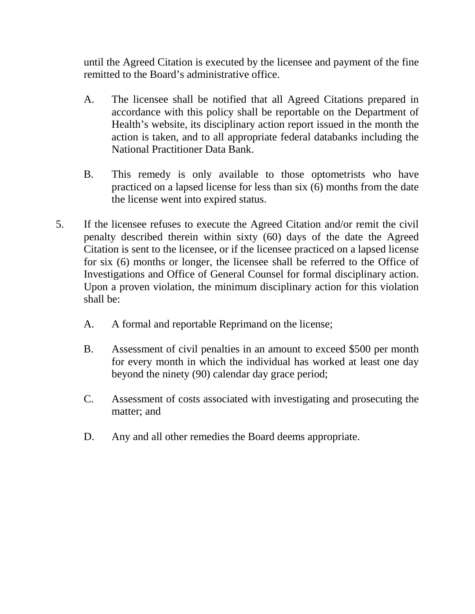until the Agreed Citation is executed by the licensee and payment of the fine remitted to the Board's administrative office.

- A. The licensee shall be notified that all Agreed Citations prepared in accordance with this policy shall be reportable on the Department of Health's website, its disciplinary action report issued in the month the action is taken, and to all appropriate federal databanks including the National Practitioner Data Bank.
- B. This remedy is only available to those optometrists who have practiced on a lapsed license for less than six (6) months from the date the license went into expired status.
- 5. If the licensee refuses to execute the Agreed Citation and/or remit the civil penalty described therein within sixty (60) days of the date the Agreed Citation is sent to the licensee, or if the licensee practiced on a lapsed license for six (6) months or longer, the licensee shall be referred to the Office of Investigations and Office of General Counsel for formal disciplinary action. Upon a proven violation, the minimum disciplinary action for this violation shall be:
	- A. A formal and reportable Reprimand on the license;
	- B. Assessment of civil penalties in an amount to exceed \$500 per month for every month in which the individual has worked at least one day beyond the ninety (90) calendar day grace period;
	- C. Assessment of costs associated with investigating and prosecuting the matter; and
	- D. Any and all other remedies the Board deems appropriate.